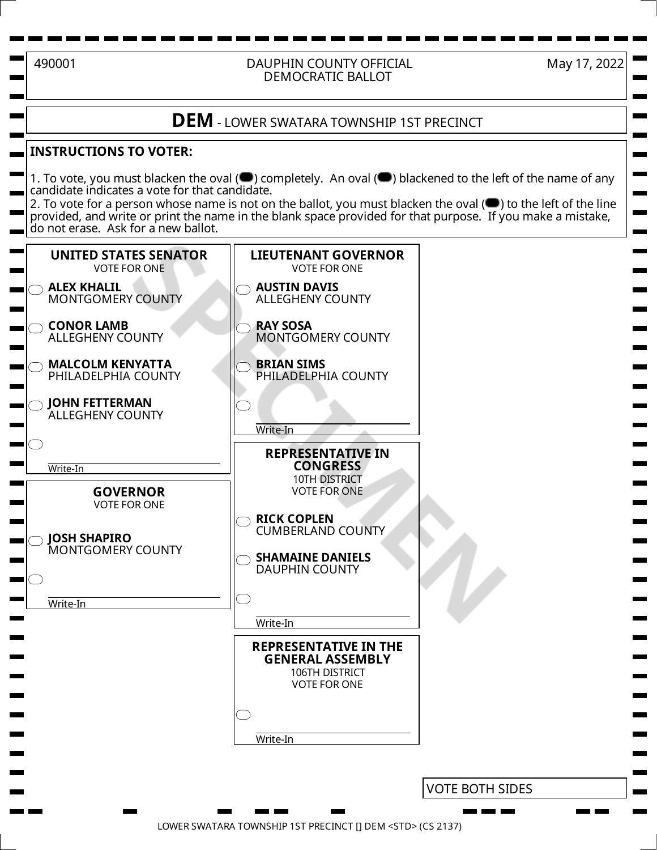## 490001 DAUPHIN COUNTY OFFICIAL DEMOCRATIC BALLOT

May 17, 2022

## **DEM** - LOWER SWATARA TOWNSHIP 1ST PRECINCT

## **INSTRUCTIONS TO VOTER:**

1. To vote, you must blacken the oval (●) completely. An oval (●) blackened to the left of the name of any candidate indicates a vote for that candidate.

2. To vote for a person whose name is not on the ballot, you must blacken the oval  $($ , to the left of the line provided, and write or print the name in the blank space provided for that purpose. If you make a mistake, do not erase. Ask for a new ballot.



VOTE BOTH SIDES